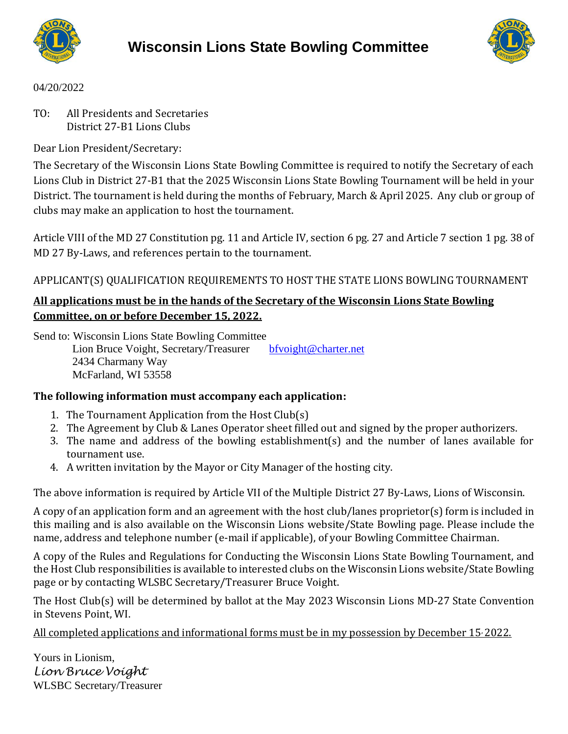



#### 04/20/2022

# TO: All Presidents and Secretaries District 27-B1 Lions Clubs

Dear Lion President/Secretary:

The Secretary of the Wisconsin Lions State Bowling Committee is required to notify the Secretary of each Lions Club in District 27-B1 that the 2025 Wisconsin Lions State Bowling Tournament will be held in your District. The tournament is held during the months of February, March & April 2025. Any club or group of clubs may make an application to host the tournament.

Article VIII of the MD 27 Constitution pg. 11 and Article IV, section 6 pg. 27 and Article 7 section 1 pg. 38 of MD 27 By-Laws, and references pertain to the tournament.

# APPLICANT(S) QUALIFICATION REQUIREMENTS TO HOST THE STATE LIONS BOWLING TOURNAMENT

# **All applications must be in the hands of the Secretary of the Wisconsin Lions State Bowling Committee, on or before December 15, 2022.**

Send to: Wisconsin Lions State Bowling Committee Lion Bruce Voight, Secretary/Treasurer [bfvoight@charter.net](mailto:bfvoight@charter.net) 2434 Charmany Way McFarland, WI 53558

# **The following information must accompany each application:**

- 1. The Tournament Application from the Host Club(s)
- 2. The Agreement by Club & Lanes Operator sheet filled out and signed by the proper authorizers.
- 3. The name and address of the bowling establishment(s) and the number of lanes available for tournament use.
- 4. A written invitation by the Mayor or City Manager of the hosting city.

The above information is required by Article VII of the Multiple District 27 By-Laws, Lions of Wisconsin.

A copy of an application form and an agreement with the host club/lanes proprietor(s) form is included in this mailing and is also available on the Wisconsin Lions website/State Bowling page. Please include the name, address and telephone number (e-mail if applicable), of your Bowling Committee Chairman.

A copy of the Rules and Regulations for Conducting the Wisconsin Lions State Bowling Tournament, and the Host Club responsibilities is available to interested clubs on the Wisconsin Lions website/State Bowling page or by contacting WLSBC Secretary/Treasurer Bruce Voight.

The Host Club(s) will be determined by ballot at the May 2023 Wisconsin Lions MD-27 State Convention in Stevens Point, WI.

All completed applications and informational forms must be in my possession by December 15, 2022.

Yours in Lionism, *Lion Bruce Voight* WLSBC Secretary/Treasurer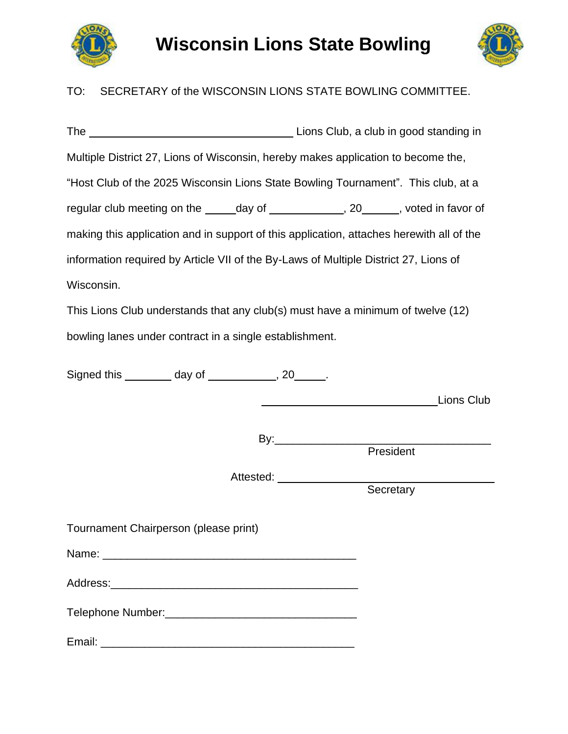



# TO: SECRETARY of the WISCONSIN LIONS STATE BOWLING COMMITTEE.

| Multiple District 27, Lions of Wisconsin, hereby makes application to become the,        |                                               |  |  |  |
|------------------------------------------------------------------------------------------|-----------------------------------------------|--|--|--|
| "Host Club of the 2025 Wisconsin Lions State Bowling Tournament". This club, at a        |                                               |  |  |  |
| regular club meeting on the ______day of _____________, 20______, voted in favor of      |                                               |  |  |  |
| making this application and in support of this application, attaches herewith all of the |                                               |  |  |  |
| information required by Article VII of the By-Laws of Multiple District 27, Lions of     |                                               |  |  |  |
| Wisconsin.                                                                               |                                               |  |  |  |
| This Lions Club understands that any club(s) must have a minimum of twelve (12)          |                                               |  |  |  |
| bowling lanes under contract in a single establishment.                                  |                                               |  |  |  |
| Signed this _________ day of ____________, 20_____.                                      | <u>Lions Club</u>                             |  |  |  |
|                                                                                          |                                               |  |  |  |
|                                                                                          | President                                     |  |  |  |
|                                                                                          | Attested: <u>_______________</u><br>Secretary |  |  |  |
| Tournament Chairperson (please print)                                                    |                                               |  |  |  |
| Name: Name:                                                                              |                                               |  |  |  |
|                                                                                          |                                               |  |  |  |
|                                                                                          |                                               |  |  |  |
|                                                                                          |                                               |  |  |  |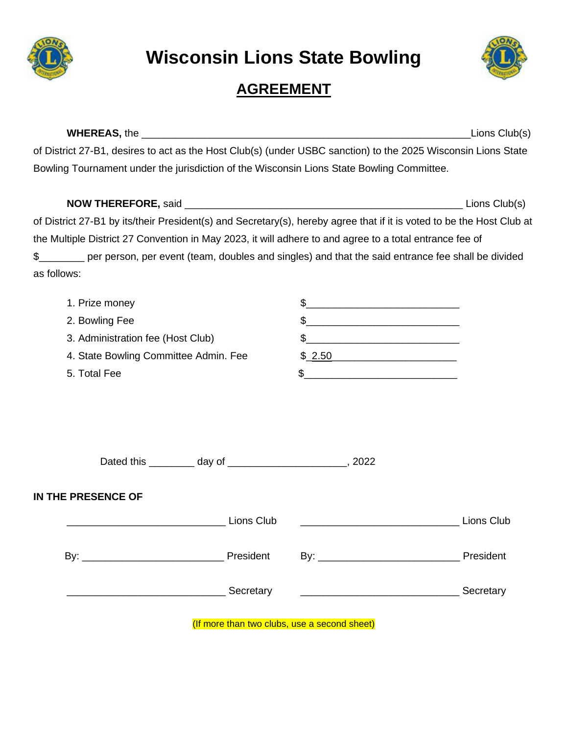

# **Wisconsin Lions State Bowling**



# **AGREEMENT**

| <b>WHEREAS, the</b>                                                                                                   | Lions Club(s) |
|-----------------------------------------------------------------------------------------------------------------------|---------------|
| of District 27-B1, desires to act as the Host Club(s) (under USBC sanction) to the 2025 Wisconsin Lions State         |               |
| Bowling Tournament under the jurisdiction of the Wisconsin Lions State Bowling Committee.                             |               |
| <b>NOW THEREFORE, said</b>                                                                                            | Lions Club(s) |
| of District 27-B1 by its/their President(s) and Secretary(s), hereby agree that if it is voted to be the Host Club at |               |

the Multiple District 27 Convention in May 2023, it will adhere to and agree to a total entrance fee of \$\_\_\_\_\_\_\_\_ per person, per event (team, doubles and singles) and that the said entrance fee shall be divided as follows:

| 1. Prize money                        |        |
|---------------------------------------|--------|
| 2. Bowling Fee                        |        |
| 3. Administration fee (Host Club)     |        |
| 4. State Bowling Committee Admin. Fee | \$2.50 |
| 5. Total Fee                          |        |

Dated this \_\_\_\_\_\_\_\_ day of \_\_\_\_\_\_\_\_\_\_\_\_\_\_\_\_\_\_\_\_\_, 2022

#### **IN THE PRESENCE OF**

|  | Lions Club | <u> 1980 - Jan Stein Harry Harry Harry Harry Harry Harry Harry Harry Harry Harry Harry Harry Harry Harry</u> | Lions Club |
|--|------------|--------------------------------------------------------------------------------------------------------------|------------|
|  | President  |                                                                                                              | President  |
|  | Secretary  |                                                                                                              | Secretary  |
|  |            |                                                                                                              |            |

(If more than two clubs, use a second sheet)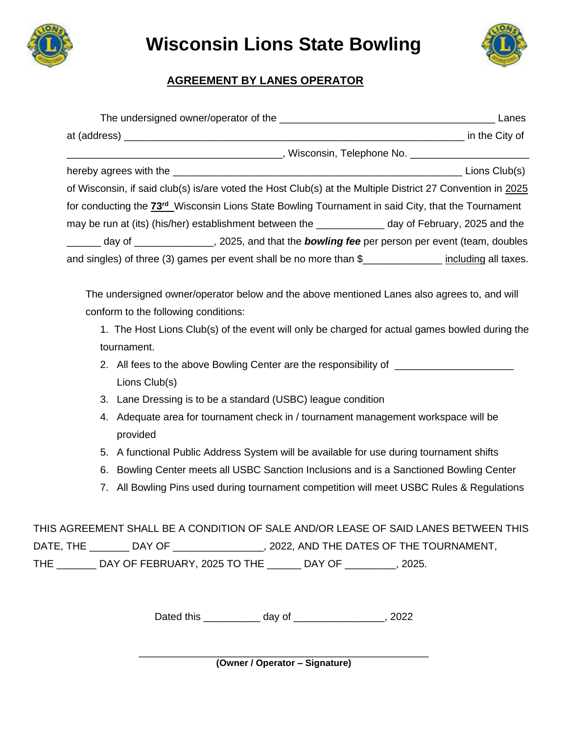

# **Wisconsin Lions State Bowling**



# **AGREEMENT BY LANES OPERATOR**

| of Wisconsin, if said club(s) is/are voted the Host Club(s) at the Multiple District 27 Convention in 2025<br>for conducting the <b>73<sup>rd</sup></b> Wisconsin Lions State Bowling Tournament in said City, that the Tournament<br>may be run at (its) (his/her) establishment between the ____________ day of February, 2025 and the |  |
|------------------------------------------------------------------------------------------------------------------------------------------------------------------------------------------------------------------------------------------------------------------------------------------------------------------------------------------|--|
|                                                                                                                                                                                                                                                                                                                                          |  |
|                                                                                                                                                                                                                                                                                                                                          |  |
|                                                                                                                                                                                                                                                                                                                                          |  |
|                                                                                                                                                                                                                                                                                                                                          |  |
|                                                                                                                                                                                                                                                                                                                                          |  |
|                                                                                                                                                                                                                                                                                                                                          |  |
| day of _______________, 2025, and that the <b>bowling fee</b> per person per event (team, doubles                                                                                                                                                                                                                                        |  |
| and singles) of three (3) games per event shall be no more than \$_______________ including all taxes.                                                                                                                                                                                                                                   |  |
| The undersigned owner/operator below and the above mentioned Lanes also agrees to, and will<br>conform to the following conditions:<br>1. The Host Lions Club(s) of the event will only be charged for actual games bowled during the<br>tournament.                                                                                     |  |
| 2. All fees to the above Bowling Center are the responsibility of _______________<br>Lions Club(s)                                                                                                                                                                                                                                       |  |
| 3. Lane Dressing is to be a standard (USBC) league condition                                                                                                                                                                                                                                                                             |  |
| 4. Adequate area for tournament check in / tournament management workspace will be<br>provided                                                                                                                                                                                                                                           |  |
| 5. A functional Public Address System will be available for use during tournament shifts                                                                                                                                                                                                                                                 |  |
| 6. Bowling Center meets all USBC Sanction Inclusions and is a Sanctioned Bowling Center                                                                                                                                                                                                                                                  |  |
| 7. All Bowling Pins used during tournament competition will meet USBC Rules & Regulations                                                                                                                                                                                                                                                |  |
| THIS AGREEMENT SHALL BE A CONDITION OF SALE AND/OR LEASE OF SAID LANES BETWEEN THIS<br>DATE, THE _________ DAY OF _________________, 2022, AND THE DATES OF THE TOURNAMENT,<br>THE __________ DAY OF FEBRUARY, 2025 TO THE ________ DAY OF __________, 2025.                                                                             |  |

Dated this \_\_\_\_\_\_\_\_\_\_ day of \_\_\_\_\_\_\_\_\_\_\_\_\_\_\_\_, 2022

\_\_\_\_\_\_\_\_\_\_\_\_\_\_\_\_\_\_\_\_\_\_\_\_\_\_\_\_\_\_\_\_\_\_\_\_\_\_\_\_\_\_\_\_\_\_\_\_\_\_\_ **(Owner / Operator – Signature)**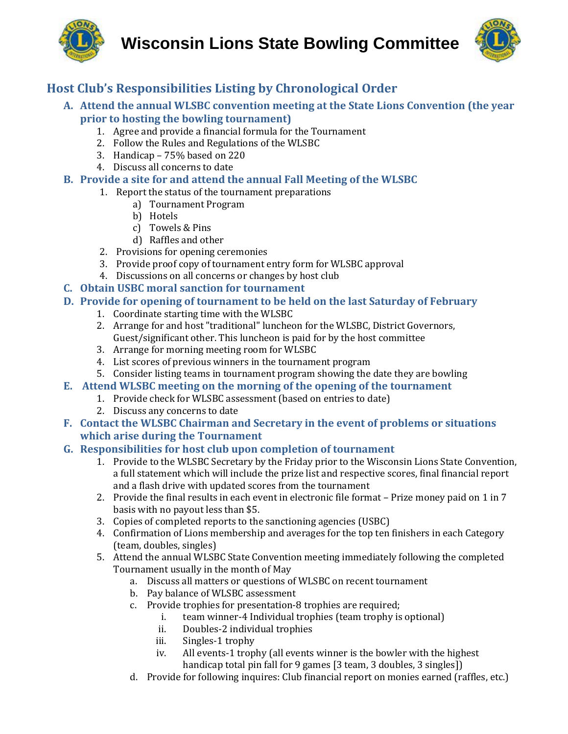# **Wisconsin Lions State Bowling Committee**



# **Host Club's Responsibilities Listing by Chronological Order**

#### **A. Attend the annual WLSBC convention meeting at the State Lions Convention (the year prior to hosting the bowling tournament)**

- 1. Agree and provide a financial formula for the Tournament
- 2. Follow the Rules and Regulations of the WLSBC
- 3. Handicap 75% based on 220
- 4. Discuss all concerns to date

# **B. Provide a site for and attend the annual Fall Meeting of the WLSBC**

- 1. Report the status of the tournament preparations
	- a) Tournament Program
	- b) Hotels
	- c) Towels & Pins
	- d) Raffles and other
- 2. Provisions for opening ceremonies
- 3. Provide proof copy of tournament entry form for WLSBC approval
- 4. Discussions on all concerns or changes by host club
- **C. Obtain USBC moral sanction for tournament**

# **D. Provide for opening of tournament to be held on the last Saturday of February**

- 1. Coordinate starting time with the WLSBC
- 2. Arrange for and host "traditional" luncheon for the WLSBC, District Governors, Guest/significant other. This luncheon is paid for by the host committee
- 3. Arrange for morning meeting room for WLSBC
- 4. List scores of previous winners in the tournament program
- 5. Consider listing teams in tournament program showing the date they are bowling

# **E. Attend WLSBC meeting on the morning of the opening of the tournament**

- 1. Provide check for WLSBC assessment (based on entries to date)
- 2. Discuss any concerns to date
- **F. Contact the WLSBC Chairman and Secretary in the event of problems or situations which arise during the Tournament**

# **G. Responsibilities for host club upon completion of tournament**

- 1. Provide to the WLSBC Secretary by the Friday prior to the Wisconsin Lions State Convention, a full statement which will include the prize list and respective scores, final financial report and a flash drive with updated scores from the tournament
- 2. Provide the final results in each event in electronic file format Prize money paid on 1 in 7 basis with no payout less than \$5.
- 3. Copies of completed reports to the sanctioning agencies (USBC)
- 4. Confirmation of Lions membership and averages for the top ten finishers in each Category (team, doubles, singles)
- 5. Attend the annual WLSBC State Convention meeting immediately following the completed Tournament usually in the month of May
	- a. Discuss all matters or questions of WLSBC on recent tournament
	- b. Pay balance of WLSBC assessment
	- c. Provide trophies for presentation-8 trophies are required;
		- i. team winner-4 Individual trophies (team trophy is optional)
		- ii. Doubles-2 individual trophies
		- iii. Singles-1 trophy
		- iv. All events-1 trophy (all events winner is the bowler with the highest handicap total pin fall for 9 games [3 team, 3 doubles, 3 singles]]
	- d. Provide for following inquires: Club financial report on monies earned (raffles, etc.)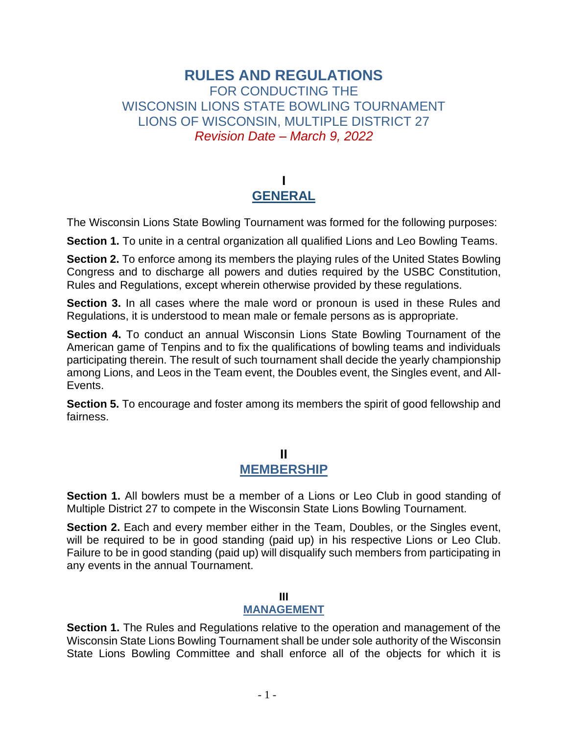# **RULES AND REGULATIONS** FOR CONDUCTING THE WISCONSIN LIONS STATE BOWLING TOURNAMENT LIONS OF WISCONSIN, MULTIPLE DISTRICT 27 *Revision Date – March 9, 2022*

# **I GENERAL**

The Wisconsin Lions State Bowling Tournament was formed for the following purposes:

**Section 1.** To unite in a central organization all qualified Lions and Leo Bowling Teams.

**Section 2.** To enforce among its members the playing rules of the United States Bowling Congress and to discharge all powers and duties required by the USBC Constitution, Rules and Regulations, except wherein otherwise provided by these regulations.

**Section 3.** In all cases where the male word or pronoun is used in these Rules and Regulations, it is understood to mean male or female persons as is appropriate.

**Section 4.** To conduct an annual Wisconsin Lions State Bowling Tournament of the American game of Tenpins and to fix the qualifications of bowling teams and individuals participating therein. The result of such tournament shall decide the yearly championship among Lions, and Leos in the Team event, the Doubles event, the Singles event, and All-Events.

**Section 5.** To encourage and foster among its members the spirit of good fellowship and fairness.

# **II MEMBERSHIP**

**Section 1.** All bowlers must be a member of a Lions or Leo Club in good standing of Multiple District 27 to compete in the Wisconsin State Lions Bowling Tournament.

**Section 2.** Each and every member either in the Team, Doubles, or the Singles event, will be required to be in good standing (paid up) in his respective Lions or Leo Club. Failure to be in good standing (paid up) will disqualify such members from participating in any events in the annual Tournament.

# **III**

#### **MANAGEMENT**

**Section 1.** The Rules and Regulations relative to the operation and management of the Wisconsin State Lions Bowling Tournament shall be under sole authority of the Wisconsin State Lions Bowling Committee and shall enforce all of the objects for which it is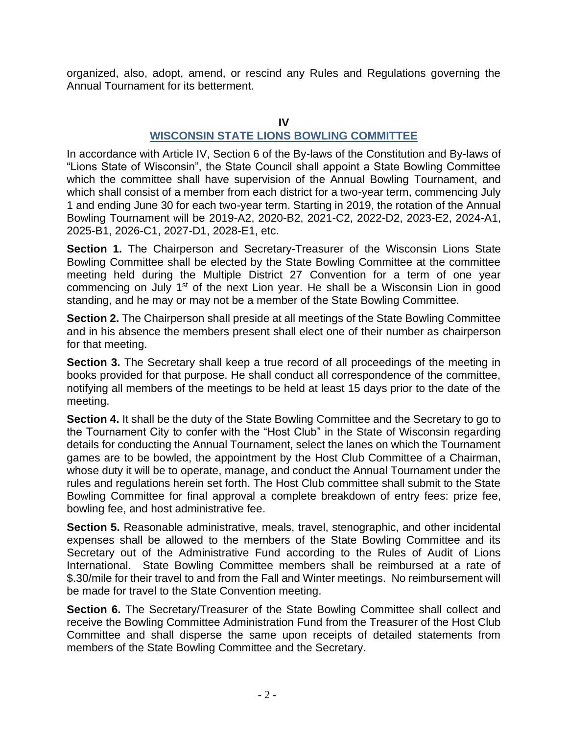organized, also, adopt, amend, or rescind any Rules and Regulations governing the Annual Tournament for its betterment.

In accordance with Article IV, Section 6 of the By-laws of the Constitution and By-laws of "Lions State of Wisconsin", the State Council shall appoint a State Bowling Committee which the committee shall have supervision of the Annual Bowling Tournament, and which shall consist of a member from each district for a two-year term, commencing July 1 and ending June 30 for each two-year term. Starting in 2019, the rotation of the Annual Bowling Tournament will be 2019-A2, 2020-B2, 2021-C2, 2022-D2, 2023-E2, 2024-A1, 2025-B1, 2026-C1, 2027-D1, 2028-E1, etc.

**Section 1.** The Chairperson and Secretary-Treasurer of the Wisconsin Lions State Bowling Committee shall be elected by the State Bowling Committee at the committee meeting held during the Multiple District 27 Convention for a term of one year commencing on July 1<sup>st</sup> of the next Lion year. He shall be a Wisconsin Lion in good standing, and he may or may not be a member of the State Bowling Committee.

**Section 2.** The Chairperson shall preside at all meetings of the State Bowling Committee and in his absence the members present shall elect one of their number as chairperson for that meeting.

**Section 3.** The Secretary shall keep a true record of all proceedings of the meeting in books provided for that purpose. He shall conduct all correspondence of the committee, notifying all members of the meetings to be held at least 15 days prior to the date of the meeting.

**Section 4.** It shall be the duty of the State Bowling Committee and the Secretary to go to the Tournament City to confer with the "Host Club" in the State of Wisconsin regarding details for conducting the Annual Tournament, select the lanes on which the Tournament games are to be bowled, the appointment by the Host Club Committee of a Chairman, whose duty it will be to operate, manage, and conduct the Annual Tournament under the rules and regulations herein set forth. The Host Club committee shall submit to the State Bowling Committee for final approval a complete breakdown of entry fees: prize fee, bowling fee, and host administrative fee.

**Section 5.** Reasonable administrative, meals, travel, stenographic, and other incidental expenses shall be allowed to the members of the State Bowling Committee and its Secretary out of the Administrative Fund according to the Rules of Audit of Lions International. State Bowling Committee members shall be reimbursed at a rate of \$.30/mile for their travel to and from the Fall and Winter meetings. No reimbursement will be made for travel to the State Convention meeting.

**Section 6.** The Secretary/Treasurer of the State Bowling Committee shall collect and receive the Bowling Committee Administration Fund from the Treasurer of the Host Club Committee and shall disperse the same upon receipts of detailed statements from members of the State Bowling Committee and the Secretary.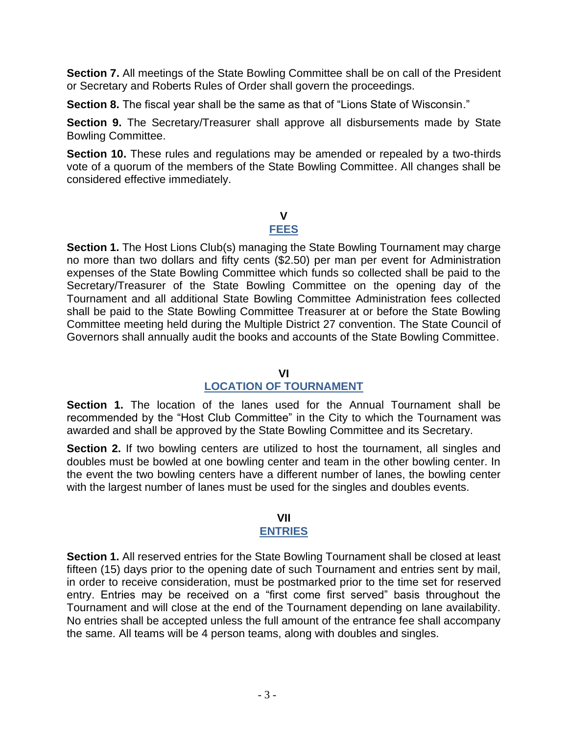**Section 7.** All meetings of the State Bowling Committee shall be on call of the President or Secretary and Roberts Rules of Order shall govern the proceedings.

**Section 8.** The fiscal year shall be the same as that of "Lions State of Wisconsin."

**Section 9.** The Secretary/Treasurer shall approve all disbursements made by State Bowling Committee.

**Section 10.** These rules and regulations may be amended or repealed by a two-thirds vote of a quorum of the members of the State Bowling Committee. All changes shall be considered effective immediately.

#### **V FEES**

**Section 1.** The Host Lions Club(s) managing the State Bowling Tournament may charge no more than two dollars and fifty cents (\$2.50) per man per event for Administration expenses of the State Bowling Committee which funds so collected shall be paid to the Secretary/Treasurer of the State Bowling Committee on the opening day of the Tournament and all additional State Bowling Committee Administration fees collected shall be paid to the State Bowling Committee Treasurer at or before the State Bowling Committee meeting held during the Multiple District 27 convention. The State Council of Governors shall annually audit the books and accounts of the State Bowling Committee.

# **VI**

# **LOCATION OF TOURNAMENT**

**Section 1.** The location of the lanes used for the Annual Tournament shall be recommended by the "Host Club Committee" in the City to which the Tournament was awarded and shall be approved by the State Bowling Committee and its Secretary.

**Section 2.** If two bowling centers are utilized to host the tournament, all singles and doubles must be bowled at one bowling center and team in the other bowling center. In the event the two bowling centers have a different number of lanes, the bowling center with the largest number of lanes must be used for the singles and doubles events.

#### **VII**

# **ENTRIES**

**Section 1.** All reserved entries for the State Bowling Tournament shall be closed at least fifteen (15) days prior to the opening date of such Tournament and entries sent by mail, in order to receive consideration, must be postmarked prior to the time set for reserved entry. Entries may be received on a "first come first served" basis throughout the Tournament and will close at the end of the Tournament depending on lane availability. No entries shall be accepted unless the full amount of the entrance fee shall accompany the same. All teams will be 4 person teams, along with doubles and singles.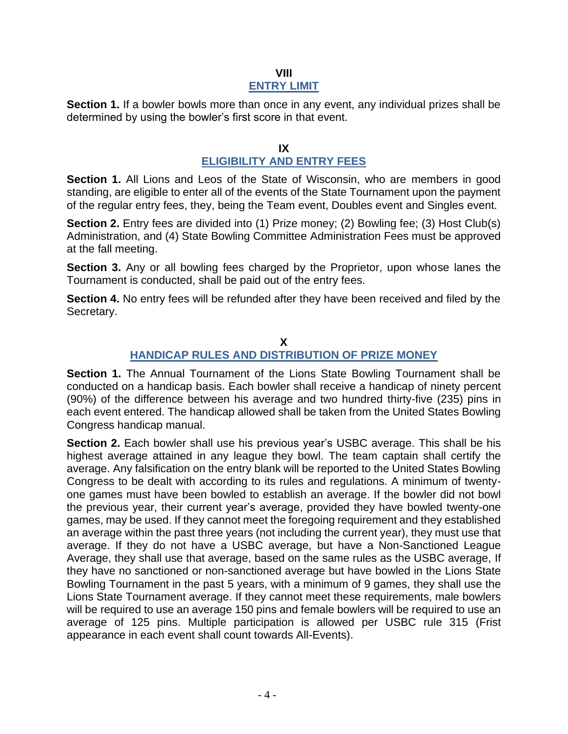# **VIII**

# **ENTRY LIMIT**

**Section 1.** If a bowler bowls more than once in any event, any individual prizes shall be determined by using the bowler's first score in that event.

#### **IX**

# **ELIGIBILITY AND ENTRY FEES**

**Section 1.** All Lions and Leos of the State of Wisconsin, who are members in good standing, are eligible to enter all of the events of the State Tournament upon the payment of the regular entry fees, they, being the Team event, Doubles event and Singles event.

**Section 2.** Entry fees are divided into (1) Prize money; (2) Bowling fee; (3) Host Club(s) Administration, and (4) State Bowling Committee Administration Fees must be approved at the fall meeting.

**Section 3.** Any or all bowling fees charged by the Proprietor, upon whose lanes the Tournament is conducted, shall be paid out of the entry fees.

**Section 4.** No entry fees will be refunded after they have been received and filed by the Secretary.

#### **X**

# **HANDICAP RULES AND DISTRIBUTION OF PRIZE MONEY**

**Section 1.** The Annual Tournament of the Lions State Bowling Tournament shall be conducted on a handicap basis. Each bowler shall receive a handicap of ninety percent (90%) of the difference between his average and two hundred thirty-five (235) pins in each event entered. The handicap allowed shall be taken from the United States Bowling Congress handicap manual.

**Section 2.** Each bowler shall use his previous year's USBC average. This shall be his highest average attained in any league they bowl. The team captain shall certify the average. Any falsification on the entry blank will be reported to the United States Bowling Congress to be dealt with according to its rules and regulations. A minimum of twentyone games must have been bowled to establish an average. If the bowler did not bowl the previous year, their current year's average, provided they have bowled twenty-one games, may be used. If they cannot meet the foregoing requirement and they established an average within the past three years (not including the current year), they must use that average. If they do not have a USBC average, but have a Non-Sanctioned League Average, they shall use that average, based on the same rules as the USBC average, If they have no sanctioned or non-sanctioned average but have bowled in the Lions State Bowling Tournament in the past 5 years, with a minimum of 9 games, they shall use the Lions State Tournament average. If they cannot meet these requirements, male bowlers will be required to use an average 150 pins and female bowlers will be required to use an average of 125 pins. Multiple participation is allowed per USBC rule 315 (Frist appearance in each event shall count towards All-Events).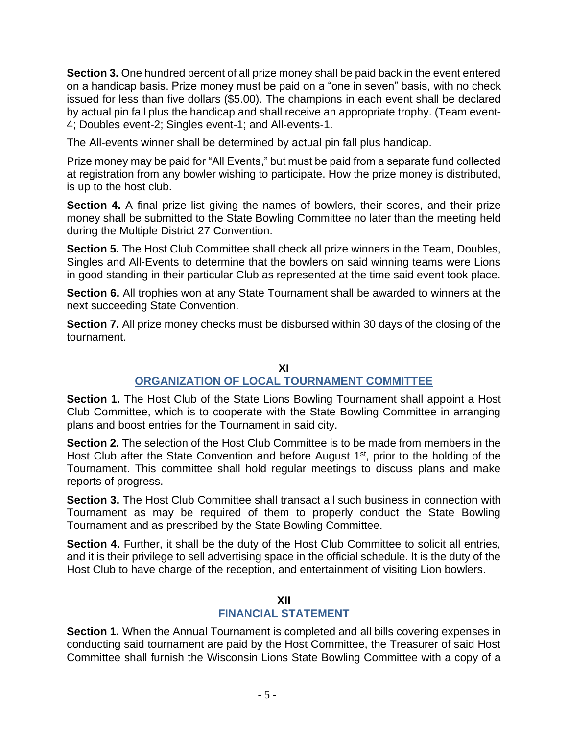**Section 3.** One hundred percent of all prize money shall be paid back in the event entered on a handicap basis. Prize money must be paid on a "one in seven" basis, with no check issued for less than five dollars (\$5.00). The champions in each event shall be declared by actual pin fall plus the handicap and shall receive an appropriate trophy. (Team event-4; Doubles event-2; Singles event-1; and All-events-1.

The All-events winner shall be determined by actual pin fall plus handicap.

Prize money may be paid for "All Events," but must be paid from a separate fund collected at registration from any bowler wishing to participate. How the prize money is distributed, is up to the host club.

**Section 4.** A final prize list giving the names of bowlers, their scores, and their prize money shall be submitted to the State Bowling Committee no later than the meeting held during the Multiple District 27 Convention.

**Section 5.** The Host Club Committee shall check all prize winners in the Team, Doubles, Singles and All-Events to determine that the bowlers on said winning teams were Lions in good standing in their particular Club as represented at the time said event took place.

**Section 6.** All trophies won at any State Tournament shall be awarded to winners at the next succeeding State Convention.

**Section 7.** All prize money checks must be disbursed within 30 days of the closing of the tournament.

#### **XI**

# **ORGANIZATION OF LOCAL TOURNAMENT COMMITTEE**

**Section 1.** The Host Club of the State Lions Bowling Tournament shall appoint a Host Club Committee, which is to cooperate with the State Bowling Committee in arranging plans and boost entries for the Tournament in said city.

**Section 2.** The selection of the Host Club Committee is to be made from members in the Host Club after the State Convention and before August 1<sup>st</sup>, prior to the holding of the Tournament. This committee shall hold regular meetings to discuss plans and make reports of progress.

**Section 3.** The Host Club Committee shall transact all such business in connection with Tournament as may be required of them to properly conduct the State Bowling Tournament and as prescribed by the State Bowling Committee.

**Section 4.** Further, it shall be the duty of the Host Club Committee to solicit all entries, and it is their privilege to sell advertising space in the official schedule. It is the duty of the Host Club to have charge of the reception, and entertainment of visiting Lion bowlers.

#### **XII FINANCIAL STATEMENT**

**Section 1.** When the Annual Tournament is completed and all bills covering expenses in conducting said tournament are paid by the Host Committee, the Treasurer of said Host Committee shall furnish the Wisconsin Lions State Bowling Committee with a copy of a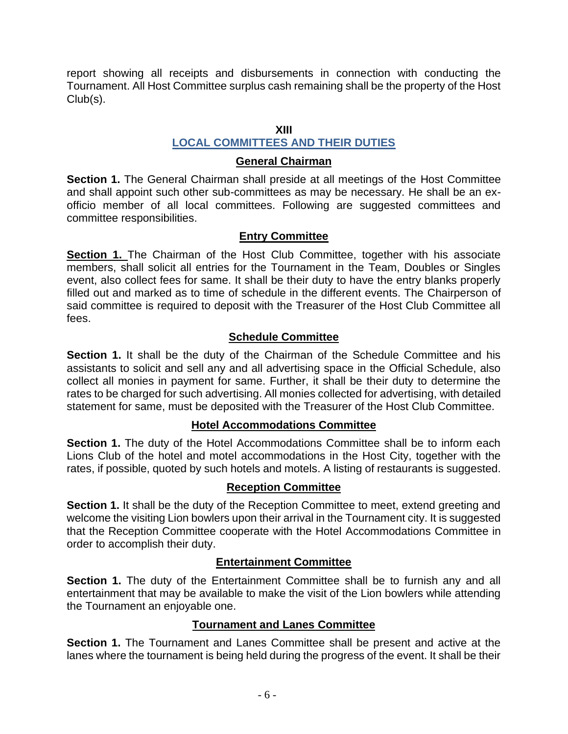report showing all receipts and disbursements in connection with conducting the Tournament. All Host Committee surplus cash remaining shall be the property of the Host Club(s).

#### **XIII**

# **LOCAL COMMITTEES AND THEIR DUTIES**

#### **General Chairman**

**Section 1.** The General Chairman shall preside at all meetings of the Host Committee and shall appoint such other sub-committees as may be necessary. He shall be an exofficio member of all local committees. Following are suggested committees and committee responsibilities.

#### **Entry Committee**

**Section 1.** The Chairman of the Host Club Committee, together with his associate members, shall solicit all entries for the Tournament in the Team, Doubles or Singles event, also collect fees for same. It shall be their duty to have the entry blanks properly filled out and marked as to time of schedule in the different events. The Chairperson of said committee is required to deposit with the Treasurer of the Host Club Committee all fees.

#### **Schedule Committee**

**Section 1.** It shall be the duty of the Chairman of the Schedule Committee and his assistants to solicit and sell any and all advertising space in the Official Schedule, also collect all monies in payment for same. Further, it shall be their duty to determine the rates to be charged for such advertising. All monies collected for advertising, with detailed statement for same, must be deposited with the Treasurer of the Host Club Committee.

#### **Hotel Accommodations Committee**

**Section 1.** The duty of the Hotel Accommodations Committee shall be to inform each Lions Club of the hotel and motel accommodations in the Host City, together with the rates, if possible, quoted by such hotels and motels. A listing of restaurants is suggested.

#### **Reception Committee**

**Section 1.** It shall be the duty of the Reception Committee to meet, extend greeting and welcome the visiting Lion bowlers upon their arrival in the Tournament city. It is suggested that the Reception Committee cooperate with the Hotel Accommodations Committee in order to accomplish their duty.

#### **Entertainment Committee**

**Section 1.** The duty of the Entertainment Committee shall be to furnish any and all entertainment that may be available to make the visit of the Lion bowlers while attending the Tournament an enjoyable one.

#### **Tournament and Lanes Committee**

**Section 1.** The Tournament and Lanes Committee shall be present and active at the lanes where the tournament is being held during the progress of the event. It shall be their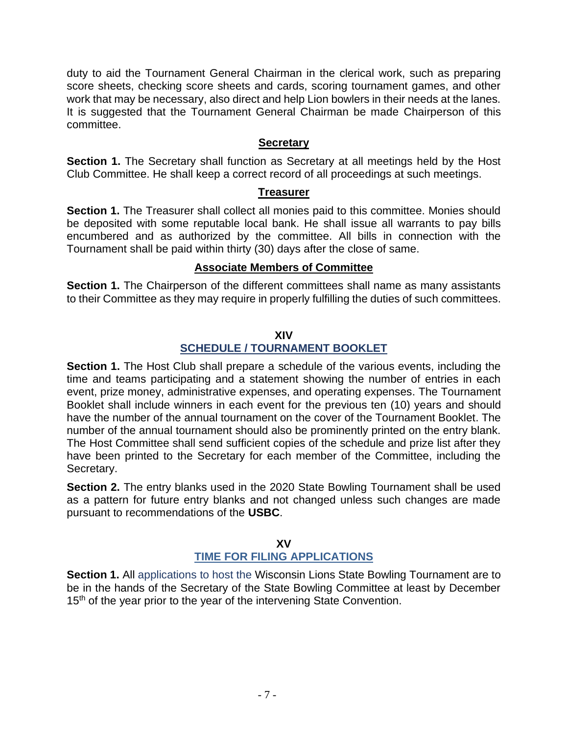duty to aid the Tournament General Chairman in the clerical work, such as preparing score sheets, checking score sheets and cards, scoring tournament games, and other work that may be necessary, also direct and help Lion bowlers in their needs at the lanes. It is suggested that the Tournament General Chairman be made Chairperson of this committee.

#### **Secretary**

**Section 1.** The Secretary shall function as Secretary at all meetings held by the Host Club Committee. He shall keep a correct record of all proceedings at such meetings.

#### **Treasurer**

**Section 1.** The Treasurer shall collect all monies paid to this committee. Monies should be deposited with some reputable local bank. He shall issue all warrants to pay bills encumbered and as authorized by the committee. All bills in connection with the Tournament shall be paid within thirty (30) days after the close of same.

# **Associate Members of Committee**

**Section 1.** The Chairperson of the different committees shall name as many assistants to their Committee as they may require in properly fulfilling the duties of such committees.

#### **XIV SCHEDULE / TOURNAMENT BOOKLET**

**Section 1.** The Host Club shall prepare a schedule of the various events, including the time and teams participating and a statement showing the number of entries in each event, prize money, administrative expenses, and operating expenses. The Tournament Booklet shall include winners in each event for the previous ten (10) years and should have the number of the annual tournament on the cover of the Tournament Booklet. The number of the annual tournament should also be prominently printed on the entry blank. The Host Committee shall send sufficient copies of the schedule and prize list after they have been printed to the Secretary for each member of the Committee, including the Secretary.

**Section 2.** The entry blanks used in the 2020 State Bowling Tournament shall be used as a pattern for future entry blanks and not changed unless such changes are made pursuant to recommendations of the **USBC**.

#### **XV**

# **TIME FOR FILING APPLICATIONS**

**Section 1.** All applications to host the Wisconsin Lions State Bowling Tournament are to be in the hands of the Secretary of the State Bowling Committee at least by December 15<sup>th</sup> of the year prior to the year of the intervening State Convention.